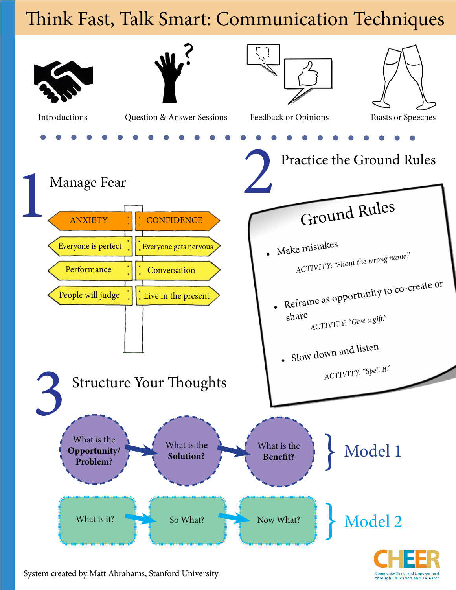## Think Fast, Talk Smart: Communication Techniques



nity Health and F through Education and Research

System created by Matt Abrahams, Stanford University